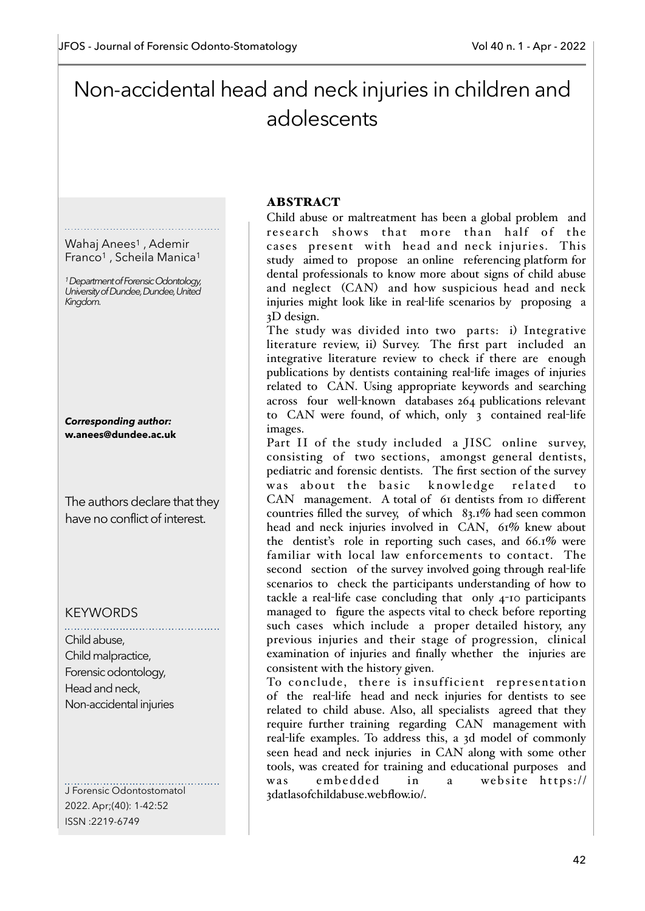# Non-accidental head and neck injuries in children and adolescents

## Wahaj Anees<sup>1</sup>, Ademir Franco<sup>1</sup>, Scheila Manica<sup>1</sup>

*1 Department of Forensic Odontology, University of Dundee, Dundee, United Kingdom.*

*Corresponding author:* **w.anees@dundee.ac.uk**

The authors declare that they have no conflict of interest.

# **KEYWORDS**

Child abuse, Child malpractice, Forensic odontology, Head and neck, Non-accidental injuries

J Forensic Odontostomatol 2022. Apr;(40): 1-42:52 ISSN :2219-6749

#### ABSTRACT

Child abuse or maltreatment has been a global problem and research shows that more than half of the cases present with head and neck injuries. This study aimed to propose an online referencing platform for dental professionals to know more about signs of child abuse and neglect (CAN) and how suspicious head and neck injuries might look like in real-life scenarios by proposing a 3D design.

The study was divided into two parts: i) Integrative literature review, ii) Survey. The first part included an integrative literature review to check if there are enough publications by dentists containing real-life images of injuries related to CAN. Using appropriate keywords and searching across four well-known databases 264 publications relevant to CAN were found, of which, only 3 contained real-life images.

Part II of the study included a JISC online survey, consisting of two sections, amongst general dentists, pediatric and forensic dentists. The first section of the survey was about the basic knowledge related to CAN management. A total of 61 dentists from 10 different countries filled the survey, of which 83.1% had seen common head and neck injuries involved in CAN, 61% knew about the dentist's role in reporting such cases, and 66.1% were familiar with local law enforcements to contact. The second section of the survey involved going through real-life scenarios to check the participants understanding of how to tackle a real-life case concluding that only 4-10 participants managed to figure the aspects vital to check before reporting such cases which include a proper detailed history, any previous injuries and their stage of progression, clinical examination of injuries and finally whether the injuries are consistent with the history given.

To conclude, there is insufficient representation of the real-life head and neck injuries for dentists to see related to child abuse. Also, all specialists agreed that they require further training regarding CAN management with real-life examples. To address this, a 3d model of commonly seen head and neck injuries in CAN along with some other tools, was created for training and educational purposes and was embedded in a website https:// 3datlasofchildabuse.webflow.io/.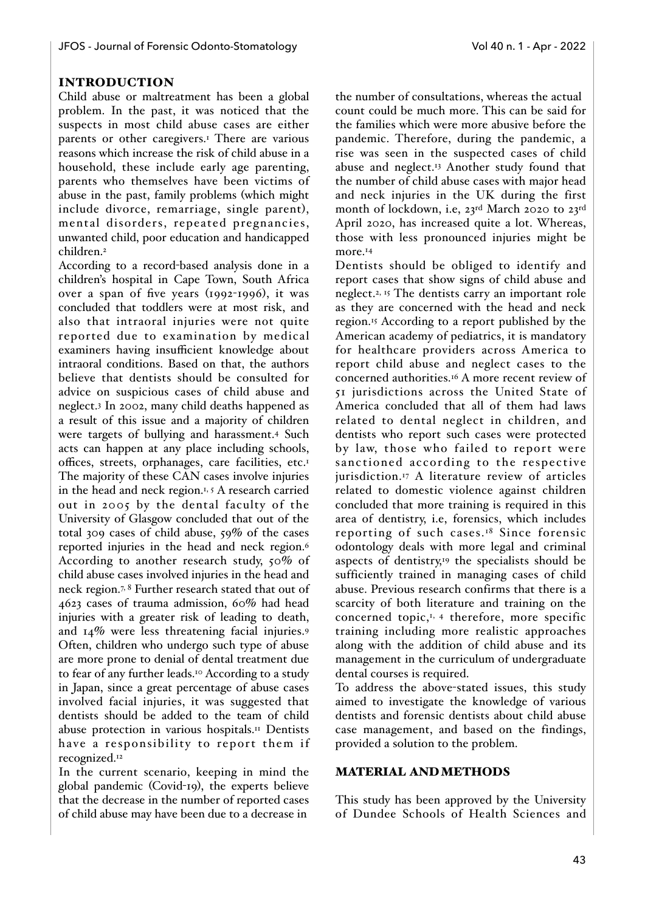## INTRODUCTION

Child abuse or maltreatment has been a global problem. In the past, it was noticed that the suspects in most child abuse cases are either parents or other caregivers.<sup>1</sup> There are various reasons which increase the risk of child abuse in a household, these include early age parenting, parents who themselves have been victims of abuse in the past, family problems (which might include divorce, remarriage, single parent), mental disorders, repeated pregnancies, unwanted child, poor education and handicapped children.2

According to a record-based analysis done in a children's hospital in Cape Town, South Africa over a span of five years (1992-1996), it was concluded that toddlers were at most risk, and also that intraoral injuries were not quite reported due to examination by medical examiners having insufficient knowledge about intraoral conditions. Based on that, the authors believe that dentists should be consulted for advice on suspicious cases of child abuse and neglect.3 In 2002, many child deaths happened as a result of this issue and a majority of children were targets of bullying and harassment.4 Such acts can happen at any place including schools, offices, streets, orphanages, care facilities, etc.1 The majority of these CAN cases involve injuries in the head and neck region.<sup>1, 5</sup> A research carried out in 2005 by the dental faculty of the University of Glasgow concluded that out of the total 309 cases of child abuse, 59% of the cases reported injuries in the head and neck region.6 According to another research study, 50% of child abuse cases involved injuries in the head and neck region.7, 8 Further research stated that out of 4623 cases of trauma admission, 60% had head injuries with a greater risk of leading to death, and 14% were less threatening facial injuries.9 Often, children who undergo such type of abuse are more prone to denial of dental treatment due to fear of any further leads.<sup>10</sup> According to a study in Japan, since a great percentage of abuse cases involved facial injuries, it was suggested that dentists should be added to the team of child abuse protection in various hospitals.11 Dentists have a responsibility to report them if recognized.12

In the current scenario, keeping in mind the global pandemic (Covid-19), the experts believe that the decrease in the number of reported cases of child abuse may have been due to a decrease in

the number of consultations, whereas the actual count could be much more. This can be said for the families which were more abusive before the pandemic. Therefore, during the pandemic, a rise was seen in the suspected cases of child abuse and neglect.<sup>13</sup> Another study found that the number of child abuse cases with major head and neck injuries in the UK during the first month of lockdown, i.e, 23rd March 2020 to 23rd April 2020, has increased quite a lot. Whereas, those with less pronounced injuries might be more.<sup>14</sup>

Dentists should be obliged to identify and report cases that show signs of child abuse and neglect.2, 15 The dentists carry an important role as they are concerned with the head and neck region.15 According to a report published by the American academy of pediatrics, it is mandatory for healthcare providers across America to report child abuse and neglect cases to the concerned authorities.16 A more recent review of 51 jurisdictions across the United State of America concluded that all of them had laws related to dental neglect in children, and dentists who report such cases were protected by law, those who failed to report were sanctioned according to the respective jurisdiction.<sup>17</sup> A literature review of articles related to domestic violence against children concluded that more training is required in this area of dentistry, i.e, forensics, which includes reporting of such cases.18 Since forensic odontology deals with more legal and criminal aspects of dentistry, $19$  the specialists should be sufficiently trained in managing cases of child abuse. Previous research confirms that there is a scarcity of both literature and training on the concerned topic,<sup>1, 4</sup> therefore, more specific training including more realistic approaches along with the addition of child abuse and its management in the curriculum of undergraduate dental courses is required.

To address the above-stated issues, this study aimed to investigate the knowledge of various dentists and forensic dentists about child abuse case management, and based on the findings, provided a solution to the problem.

#### MATERIAL AND METHODS

This study has been approved by the University of Dundee Schools of Health Sciences and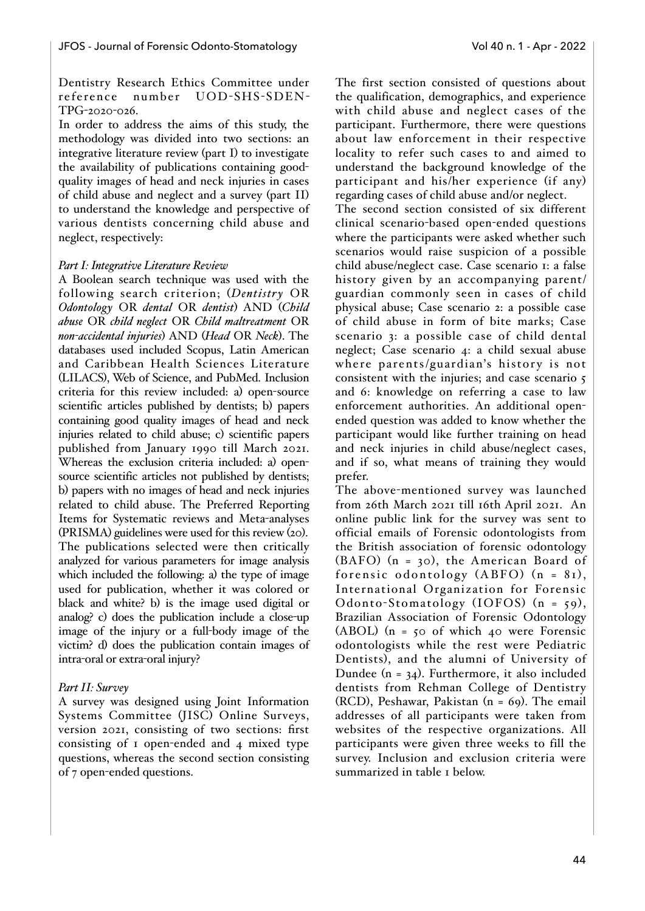#### Dentistry Research Ethics Committee under reference number UOD-SHS-SDEN-TPG-2020-026.

In order to address the aims of this study, the methodology was divided into two sections: an integrative literature review (part I) to investigate the availability of publications containing goodquality images of head and neck injuries in cases of child abuse and neglect and a survey (part II) to understand the knowledge and perspective of various dentists concerning child abuse and neglect, respectively:

## *Part I: Integrative Literature Review*

A Boolean search technique was used with the following search criterion; (*Dentistry* OR *Odontology* OR *dental* OR *dentist*) AND (*Child abuse* OR *child neglect* OR *Child maltreatment* OR *non-accidental injuries*) AND (*Head* OR *Neck*). The databases used included Scopus, Latin American and Caribbean Health Sciences Literature (LILACS), Web of Science, and PubMed. Inclusion criteria for this review included: a) open-source scientific articles published by dentists; b) papers containing good quality images of head and neck injuries related to child abuse; c) scientific papers published from January 1990 till March 2021. Whereas the exclusion criteria included: a) opensource scientific articles not published by dentists; b) papers with no images of head and neck injuries related to child abuse. The Preferred Reporting Items for Systematic reviews and Meta-analyses (PRISMA) guidelines were used for this review (20). The publications selected were then critically analyzed for various parameters for image analysis which included the following: a) the type of image used for publication, whether it was colored or black and white? b) is the image used digital or analog? c) does the publication include a close-up image of the injury or a full-body image of the victim? d) does the publication contain images of intra-oral or extra-oral injury?

## *Part II: Survey*

A survey was designed using Joint Information Systems Committee (JISC) Online Surveys, version 2021, consisting of two sections: first consisting of 1 open-ended and 4 mixed type questions, whereas the second section consisting of 7 open-ended questions.

The first section consisted of questions about the qualification, demographics, and experience with child abuse and neglect cases of the participant. Furthermore, there were questions about law enforcement in their respective locality to refer such cases to and aimed to understand the background knowledge of the participant and his/her experience (if any) regarding cases of child abuse and/or neglect.

The second section consisted of six different clinical scenario-based open-ended questions where the participants were asked whether such scenarios would raise suspicion of a possible child abuse/neglect case. Case scenario 1: a false history given by an accompanying parent/ guardian commonly seen in cases of child physical abuse; Case scenario 2: a possible case of child abuse in form of bite marks; Case scenario 3: a possible case of child dental neglect; Case scenario 4: a child sexual abuse where parents/guardian's history is not consistent with the injuries; and case scenario 5 and 6: knowledge on referring a case to law enforcement authorities. An additional openended question was added to know whether the participant would like further training on head and neck injuries in child abuse/neglect cases, and if so, what means of training they would prefer.

The above-mentioned survey was launched from 26th March 2021 till 16th April 2021. An online public link for the survey was sent to official emails of Forensic odontologists from the British association of forensic odontology (BAFO) (n = 30), the American Board of forensic odontology  $(ABFO)$   $(n = 81)$ , International Organization for Forensic Odonto-Stomatology (IOFOS)  $(n = 59)$ , Brazilian Association of Forensic Odontology (ABOL) (n = 50 of which 40 were Forensic odontologists while the rest were Pediatric Dentists), and the alumni of University of Dundee (n = 34). Furthermore, it also included dentists from Rehman College of Dentistry (RCD), Peshawar, Pakistan (n = 69). The email addresses of all participants were taken from websites of the respective organizations. All participants were given three weeks to fill the survey. Inclusion and exclusion criteria were summarized in table 1 below.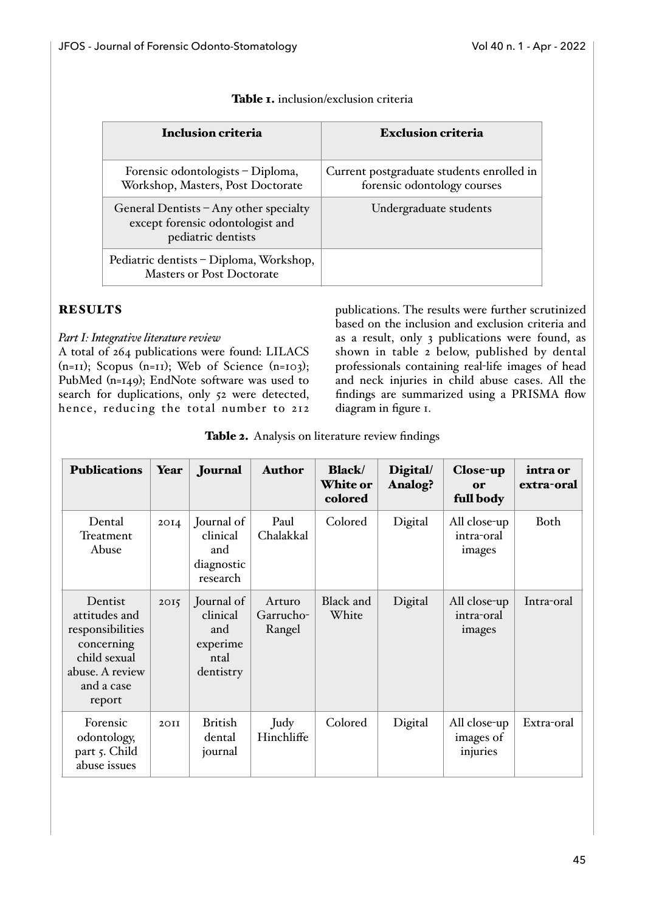| <b>Inclusion criteria</b>                                                                        | <b>Exclusion criteria</b>                                                |
|--------------------------------------------------------------------------------------------------|--------------------------------------------------------------------------|
| Forensic odontologists – Diploma,<br>Workshop, Masters, Post Doctorate                           | Current postgraduate students enrolled in<br>forensic odontology courses |
| General Dentists - Any other specialty<br>except forensic odontologist and<br>pediatric dentists | Undergraduate students                                                   |
| Pediatric dentists - Diploma, Workshop,<br><b>Masters or Post Doctorate</b>                      |                                                                          |

#### Table 1. inclusion/exclusion criteria

## **RESULTS**

## *Part I: Integrative literature review*

A total of 264 publications were found: LILACS  $(n=11)$ ; Scopus  $(n=11)$ ; Web of Science  $(n=103)$ ; PubMed (n=149); EndNote software was used to search for duplications, only 52 were detected, hence, reducing the total number to 212 publications. The results were further scrutinized based on the inclusion and exclusion criteria and as a result, only 3 publications were found, as shown in table 2 below, published by dental professionals containing real-life images of head and neck injuries in child abuse cases. All the findings are summarized using a PRISMA flow diagram in figure 1.

Table 2. Analysis on literature review findings

| <b>Publications</b>                                                                                                   | Year | Journal                                                        | <b>Author</b>                 | <b>Black</b><br><b>White or</b><br>colored | Digital/<br>Analog? | Close-up<br>or<br>full body           | intra or<br>extra-oral |
|-----------------------------------------------------------------------------------------------------------------------|------|----------------------------------------------------------------|-------------------------------|--------------------------------------------|---------------------|---------------------------------------|------------------------|
| Dental<br>Treatment<br>Abuse                                                                                          | 20I4 | Journal of<br>clinical<br>and<br>diagnostic<br>research        | Paul<br>Chalakkal             | Colored                                    | Digital             | All close-up<br>intra-oral<br>images  | Both                   |
| Dentist<br>attitudes and<br>responsibilities<br>concerning<br>child sexual<br>abuse. A review<br>and a case<br>report | 2015 | Journal of<br>clinical<br>and<br>experime<br>ntal<br>dentistry | Arturo<br>Garrucho-<br>Rangel | <b>Black</b> and<br>White                  | Digital             | All close-up<br>intra-oral<br>images  | Intra-oral             |
| Forensic<br>odontology,<br>part 5. Child<br>abuse issues                                                              | 2OII | <b>British</b><br>dental<br>journal                            | Judy<br>Hinchliffe            | Colored                                    | Digital             | All close-up<br>images of<br>injuries | Extra-oral             |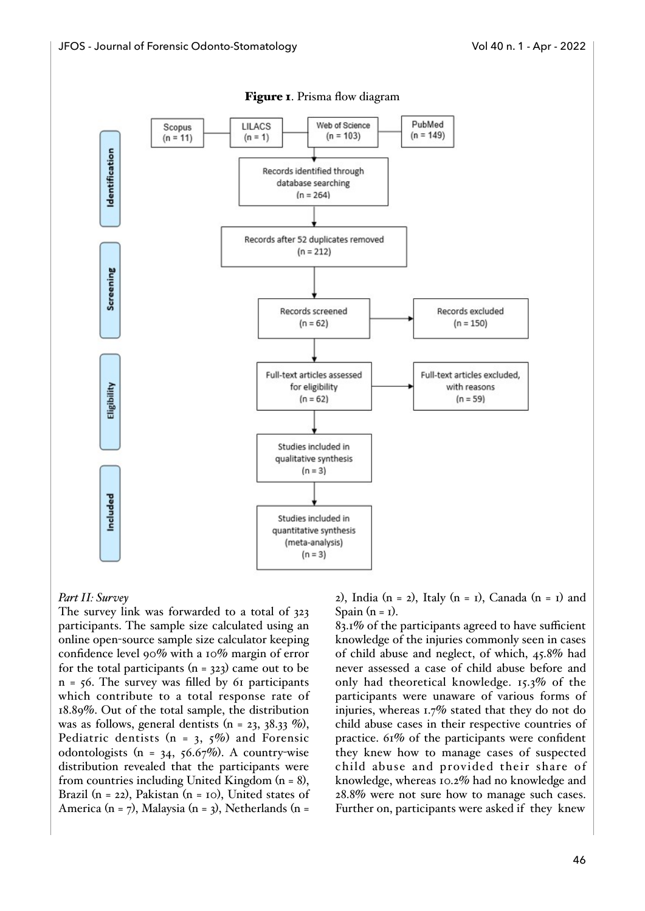

#### Figure 1. Prisma flow diagram

#### *Part II: Survey*

The survey link was forwarded to a total of 323 participants. The sample size calculated using an online open-source sample size calculator keeping confidence level 90% with a 10% margin of error for the total participants  $(n = 323)$  came out to be  $n = 56$ . The survey was filled by 61 participants which contribute to a total response rate of 18.89%. Out of the total sample, the distribution was as follows, general dentists  $(n = 23, 38.33\%)$ , Pediatric dentists ( $n = 3, 5\%$ ) and Forensic odontologists (n =  $34, 56.67\%$ ). A country-wise distribution revealed that the participants were from countries including United Kingdom (n = 8), Brazil (n = 22), Pakistan (n = 10), United states of America (n = 7), Malaysia (n = 3), Netherlands (n =

2), India (n = 2), Italy (n = 1), Canada (n = 1) and Spain  $(n = 1)$ .

83.1% of the participants agreed to have sufficient knowledge of the injuries commonly seen in cases of child abuse and neglect, of which, 45.8% had never assessed a case of child abuse before and only had theoretical knowledge. 15.3% of the participants were unaware of various forms of injuries, whereas 1.7% stated that they do not do child abuse cases in their respective countries of practice. 61% of the participants were confident they knew how to manage cases of suspected child abuse and provided their share of knowledge, whereas 10.2% had no knowledge and 28.8% were not sure how to manage such cases. Further on, participants were asked if they knew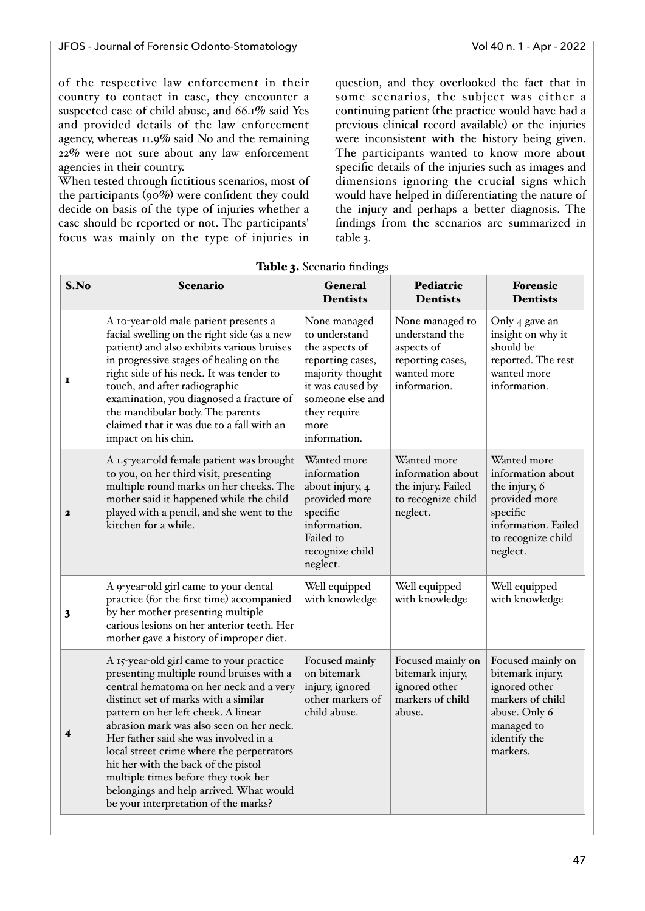of the respective law enforcement in their country to contact in case, they encounter a suspected case of child abuse, and 66.1% said Yes and provided details of the law enforcement agency, whereas 11.9% said No and the remaining 22% were not sure about any law enforcement agencies in their country.

When tested through fictitious scenarios, most of the participants (90%) were confident they could decide on basis of the type of injuries whether a case should be reported or not. The participants' focus was mainly on the type of injuries in question, and they overlooked the fact that in some scenarios, the subject was either a continuing patient (the practice would have had a previous clinical record available) or the injuries were inconsistent with the history being given. The participants wanted to know more about specific details of the injuries such as images and dimensions ignoring the crucial signs which would have helped in differentiating the nature of the injury and perhaps a better diagnosis. The findings from the scenarios are summarized in table 3.

| S.No                    | Scenario                                                                                                                                                                                                                                                                                                                                                                                                                                                                                                          | <b>General</b><br><b>Dentists</b>                                                                                                                                       | Pediatric<br><b>Dentists</b>                                                                       | <b>Forensic</b><br><b>Dentists</b>                                                                                                      |
|-------------------------|-------------------------------------------------------------------------------------------------------------------------------------------------------------------------------------------------------------------------------------------------------------------------------------------------------------------------------------------------------------------------------------------------------------------------------------------------------------------------------------------------------------------|-------------------------------------------------------------------------------------------------------------------------------------------------------------------------|----------------------------------------------------------------------------------------------------|-----------------------------------------------------------------------------------------------------------------------------------------|
| I                       | A 10-year-old male patient presents a<br>facial swelling on the right side (as a new<br>patient) and also exhibits various bruises<br>in progressive stages of healing on the<br>right side of his neck. It was tender to<br>touch, and after radiographic<br>examination, you diagnosed a fracture of<br>the mandibular body. The parents<br>claimed that it was due to a fall with an<br>impact on his chin.                                                                                                    | None managed<br>to understand<br>the aspects of<br>reporting cases,<br>majority thought<br>it was caused by<br>someone else and<br>they require<br>more<br>information. | None managed to<br>understand the<br>aspects of<br>reporting cases,<br>wanted more<br>information. | Only 4 gave an<br>insight on why it<br>should be<br>reported. The rest<br>wanted more<br>information.                                   |
| $\mathbf{z}$            | A 1.5-year-old female patient was brought<br>to you, on her third visit, presenting<br>multiple round marks on her cheeks. The<br>mother said it happened while the child<br>played with a pencil, and she went to the<br>kitchen for a while.                                                                                                                                                                                                                                                                    | Wanted more<br>information<br>about injury, 4<br>provided more<br>specific<br>information.<br>Failed to<br>recognize child<br>neglect.                                  | Wanted more<br>information about<br>the injury. Failed<br>to recognize child<br>neglect.           | Wanted more<br>information about<br>the injury, 6<br>provided more<br>specific<br>information. Failed<br>to recognize child<br>neglect. |
| 3                       | A 9-year-old girl came to your dental<br>practice (for the first time) accompanied<br>by her mother presenting multiple<br>carious lesions on her anterior teeth. Her<br>mother gave a history of improper diet.                                                                                                                                                                                                                                                                                                  | Well equipped<br>with knowledge                                                                                                                                         | Well equipped<br>with knowledge                                                                    | Well equipped<br>with knowledge                                                                                                         |
| $\overline{\mathbf{4}}$ | A 15-year-old girl came to your practice<br>presenting multiple round bruises with a<br>central hematoma on her neck and a very<br>distinct set of marks with a similar<br>pattern on her left cheek. A linear<br>abrasion mark was also seen on her neck.<br>Her father said she was involved in a<br>local street crime where the perpetrators<br>hit her with the back of the pistol<br>multiple times before they took her<br>belongings and help arrived. What would<br>be your interpretation of the marks? | Focused mainly<br>on bitemark<br>injury, ignored<br>other markers of<br>child abuse.                                                                                    | Focused mainly on<br>bitemark injury,<br>ignored other<br>markers of child<br>abuse.               | Focused mainly on<br>bitemark injury,<br>ignored other<br>markers of child<br>abuse. Only 6<br>managed to<br>identify the<br>markers.   |

Table 3. Scenario findings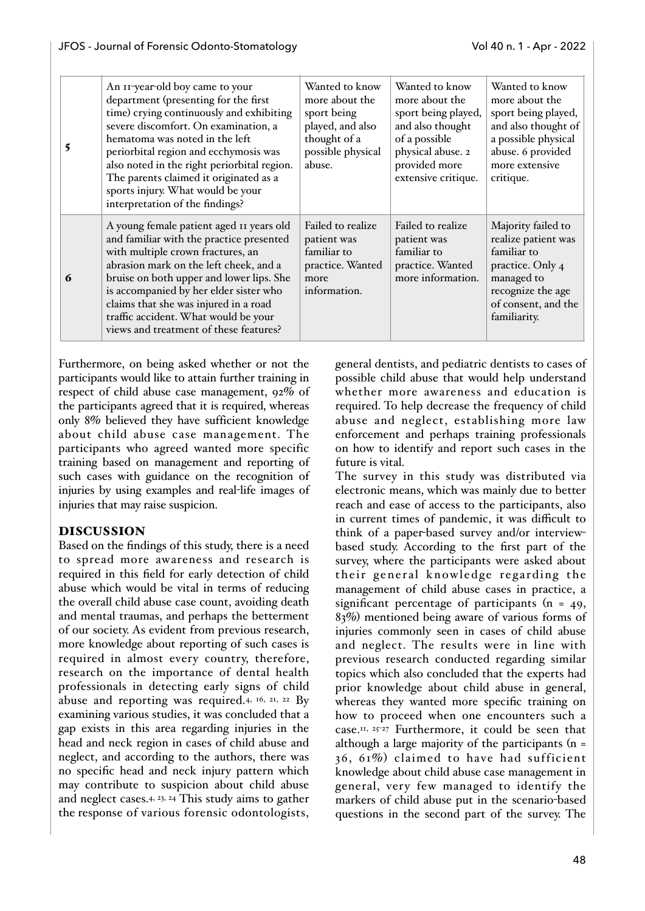| 5 | An II-year-old boy came to your<br>department (presenting for the first<br>time) crying continuously and exhibiting<br>severe discomfort. On examination, a<br>hematoma was noted in the left<br>periorbital region and ecchymosis was<br>also noted in the right periorbital region.<br>The parents claimed it originated as a<br>sports injury. What would be your<br>interpretation of the findings? | Wanted to know<br>more about the<br>sport being<br>played, and also<br>thought of a<br>possible physical<br>abuse. | Wanted to know<br>more about the<br>sport being played,<br>and also thought<br>of a possible<br>physical abuse. 2<br>provided more<br>extensive critique. | Wanted to know<br>more about the<br>sport being played,<br>and also thought of<br>a possible physical<br>abuse. 6 provided<br>more extensive<br>critique. |
|---|---------------------------------------------------------------------------------------------------------------------------------------------------------------------------------------------------------------------------------------------------------------------------------------------------------------------------------------------------------------------------------------------------------|--------------------------------------------------------------------------------------------------------------------|-----------------------------------------------------------------------------------------------------------------------------------------------------------|-----------------------------------------------------------------------------------------------------------------------------------------------------------|
| 6 | A young female patient aged II years old<br>and familiar with the practice presented<br>with multiple crown fractures, an<br>abrasion mark on the left cheek, and a<br>bruise on both upper and lower lips. She<br>is accompanied by her elder sister who<br>claims that she was injured in a road<br>traffic accident. What would be your<br>views and treatment of these features?                    | Failed to realize<br>patient was<br>familiar to<br>practice. Wanted<br>more<br>information.                        | Failed to realize<br>patient was<br>familiar to<br>practice. Wanted<br>more information.                                                                  | Majority failed to<br>realize patient was<br>familiar to<br>practice. Only 4<br>managed to<br>recognize the age<br>of consent, and the<br>familiarity.    |

Furthermore, on being asked whether or not the participants would like to attain further training in respect of child abuse case management, 92% of the participants agreed that it is required, whereas only 8% believed they have sufficient knowledge about child abuse case management. The participants who agreed wanted more specific training based on management and reporting of such cases with guidance on the recognition of injuries by using examples and real-life images of injuries that may raise suspicion.

## DISCUSSION

Based on the findings of this study, there is a need to spread more awareness and research is required in this field for early detection of child abuse which would be vital in terms of reducing the overall child abuse case count, avoiding death and mental traumas, and perhaps the betterment of our society. As evident from previous research, more knowledge about reporting of such cases is required in almost every country, therefore, research on the importance of dental health professionals in detecting early signs of child abuse and reporting was required.4, 16, 21, 22 By examining various studies, it was concluded that a gap exists in this area regarding injuries in the head and neck region in cases of child abuse and neglect, and according to the authors, there was no specific head and neck injury pattern which may contribute to suspicion about child abuse and neglect cases.4, 23, 24 This study aims to gather the response of various forensic odontologists,

general dentists, and pediatric dentists to cases of possible child abuse that would help understand whether more awareness and education is required. To help decrease the frequency of child abuse and neglect, establishing more law enforcement and perhaps training professionals on how to identify and report such cases in the future is vital.

The survey in this study was distributed via electronic means, which was mainly due to better reach and ease of access to the participants, also in current times of pandemic, it was difficult to think of a paper-based survey and/or interviewbased study. According to the first part of the survey, where the participants were asked about their general knowledge regarding the management of child abuse cases in practice, a significant percentage of participants  $(n = 49)$ , 83%) mentioned being aware of various forms of injuries commonly seen in cases of child abuse and neglect. The results were in line with previous research conducted regarding similar topics which also concluded that the experts had prior knowledge about child abuse in general, whereas they wanted more specific training on how to proceed when one encounters such a case.11, 25-27 Furthermore, it could be seen that although a large majority of the participants  $(n =$ 36, 61%) claimed to have had sufficient knowledge about child abuse case management in general, very few managed to identify the markers of child abuse put in the scenario-based questions in the second part of the survey. The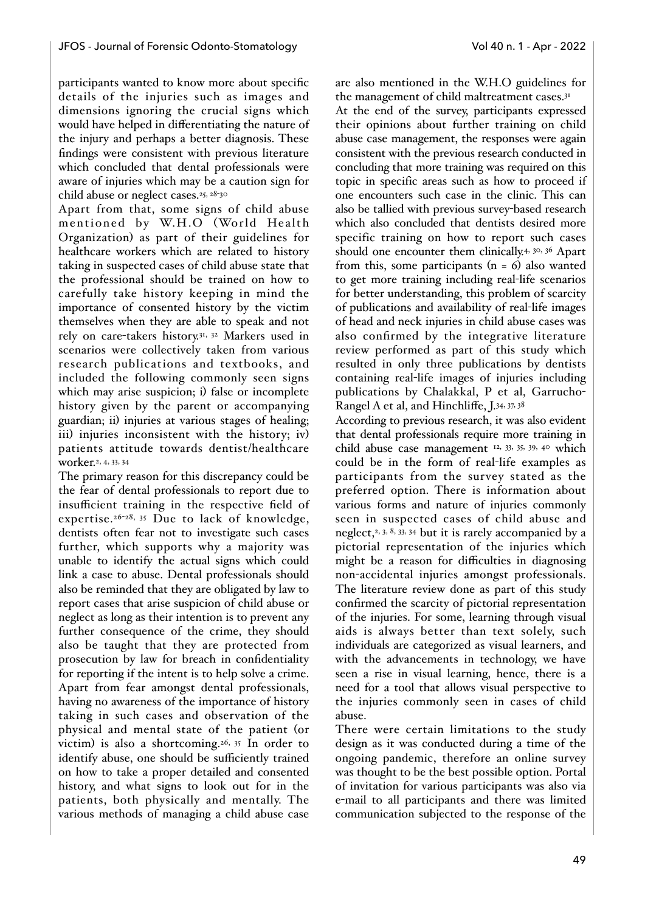participants wanted to know more about specific details of the injuries such as images and dimensions ignoring the crucial signs which would have helped in differentiating the nature of the injury and perhaps a better diagnosis. These findings were consistent with previous literature which concluded that dental professionals were aware of injuries which may be a caution sign for child abuse or neglect cases.25, 28-<sup>30</sup>

Apart from that, some signs of child abuse mentioned by W.H.O (World Health Organization) as part of their guidelines for healthcare workers which are related to history taking in suspected cases of child abuse state that the professional should be trained on how to carefully take history keeping in mind the importance of consented history by the victim themselves when they are able to speak and not rely on care-takers history.31, 32 Markers used in scenarios were collectively taken from various research publications and textbooks, and included the following commonly seen signs which may arise suspicion; i) false or incomplete history given by the parent or accompanying guardian; ii) injuries at various stages of healing; iii) injuries inconsistent with the history; iv) patients attitude towards dentist/healthcare worker.2, 4, 33, 34

The primary reason for this discrepancy could be the fear of dental professionals to report due to insufficient training in the respective field of expertise.<sup>26-28, 35</sup> Due to lack of knowledge, dentists often fear not to investigate such cases further, which supports why a majority was unable to identify the actual signs which could link a case to abuse. Dental professionals should also be reminded that they are obligated by law to report cases that arise suspicion of child abuse or neglect as long as their intention is to prevent any further consequence of the crime, they should also be taught that they are protected from prosecution by law for breach in confidentiality for reporting if the intent is to help solve a crime. Apart from fear amongst dental professionals, having no awareness of the importance of history taking in such cases and observation of the physical and mental state of the patient (or victim) is also a shortcoming.<sup>26, 35</sup> In order to identify abuse, one should be sufficiently trained on how to take a proper detailed and consented history, and what signs to look out for in the patients, both physically and mentally. The various methods of managing a child abuse case

are also mentioned in the W.H.O guidelines for the management of child maltreatment cases.<sup>31</sup>

At the end of the survey, participants expressed their opinions about further training on child abuse case management, the responses were again consistent with the previous research conducted in concluding that more training was required on this topic in specific areas such as how to proceed if one encounters such case in the clinic. This can also be tallied with previous survey-based research which also concluded that dentists desired more specific training on how to report such cases should one encounter them clinically.<sup>4, 30, 36</sup> Apart from this, some participants  $(n = 6)$  also wanted to get more training including real-life scenarios for better understanding, this problem of scarcity of publications and availability of real-life images of head and neck injuries in child abuse cases was also confirmed by the integrative literature review performed as part of this study which resulted in only three publications by dentists containing real-life images of injuries including publications by Chalakkal, P et al, Garrucho-Rangel A et al, and Hinchliffe, J.34, 37, 38

According to previous research, it was also evident that dental professionals require more training in child abuse case management 12, 33, 35, 39, 40 which could be in the form of real-life examples as participants from the survey stated as the preferred option. There is information about various forms and nature of injuries commonly seen in suspected cases of child abuse and neglect,<sup>2, 3, 8, 33, 34</sup> but it is rarely accompanied by a pictorial representation of the injuries which might be a reason for difficulties in diagnosing non-accidental injuries amongst professionals. The literature review done as part of this study confirmed the scarcity of pictorial representation of the injuries. For some, learning through visual aids is always better than text solely, such individuals are categorized as visual learners, and with the advancements in technology, we have seen a rise in visual learning, hence, there is a need for a tool that allows visual perspective to the injuries commonly seen in cases of child abuse.

There were certain limitations to the study design as it was conducted during a time of the ongoing pandemic, therefore an online survey was thought to be the best possible option. Portal of invitation for various participants was also via e-mail to all participants and there was limited communication subjected to the response of the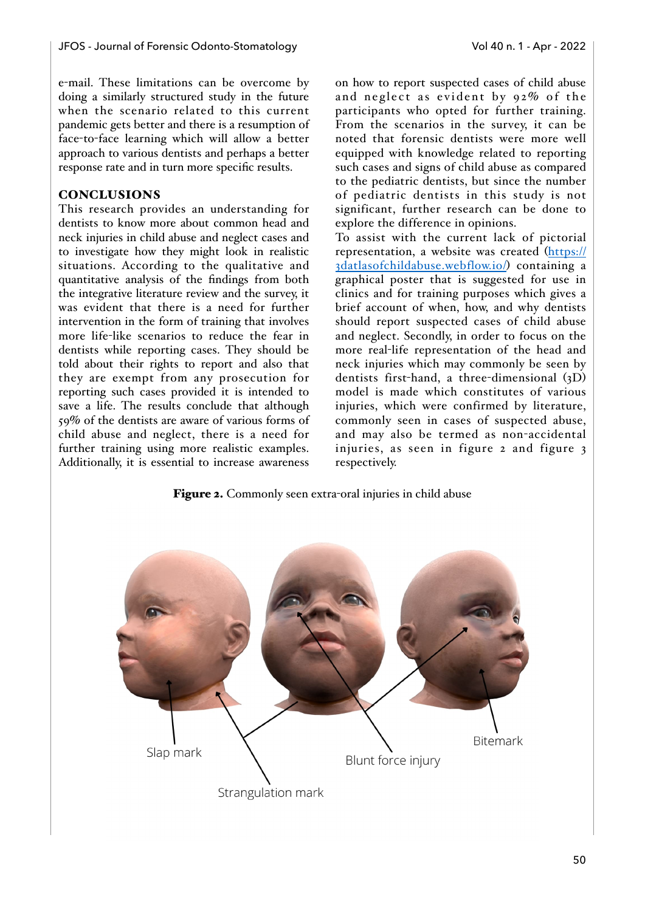e-mail. These limitations can be overcome by doing a similarly structured study in the future when the scenario related to this current pandemic gets better and there is a resumption of face-to-face learning which will allow a better approach to various dentists and perhaps a better response rate and in turn more specific results.

#### **CONCLUSIONS**

This research provides an understanding for dentists to know more about common head and neck injuries in child abuse and neglect cases and to investigate how they might look in realistic situations. According to the qualitative and quantitative analysis of the findings from both the integrative literature review and the survey, it was evident that there is a need for further intervention in the form of training that involves more life-like scenarios to reduce the fear in dentists while reporting cases. They should be told about their rights to report and also that they are exempt from any prosecution for reporting such cases provided it is intended to save a life. The results conclude that although 59% of the dentists are aware of various forms of child abuse and neglect, there is a need for further training using more realistic examples. Additionally, it is essential to increase awareness

on how to report suspected cases of child abuse and neglect as evident by 92% of the participants who opted for further training. From the scenarios in the survey, it can be noted that forensic dentists were more well equipped with knowledge related to reporting such cases and signs of child abuse as compared to the pediatric dentists, but since the number of pediatric dentists in this study is not significant, further research can be done to explore the difference in opinions.

To assist with the current lack of pictorial representation, a website was created ([https://](https://3datlasofchildabuse.webflow.io/) [3datlasofchildabuse.webflow.io/](https://3datlasofchildabuse.webflow.io/)) containing a graphical poster that is suggested for use in clinics and for training purposes which gives a brief account of when, how, and why dentists should report suspected cases of child abuse and neglect. Secondly, in order to focus on the more real-life representation of the head and neck injuries which may commonly be seen by dentists first-hand, a three-dimensional (3D) model is made which constitutes of various injuries, which were confirmed by literature, commonly seen in cases of suspected abuse, and may also be termed as non-accidental injuries, as seen in figure 2 and figure 3 respectively.

Figure 2. Commonly seen extra-oral injuries in child abuse

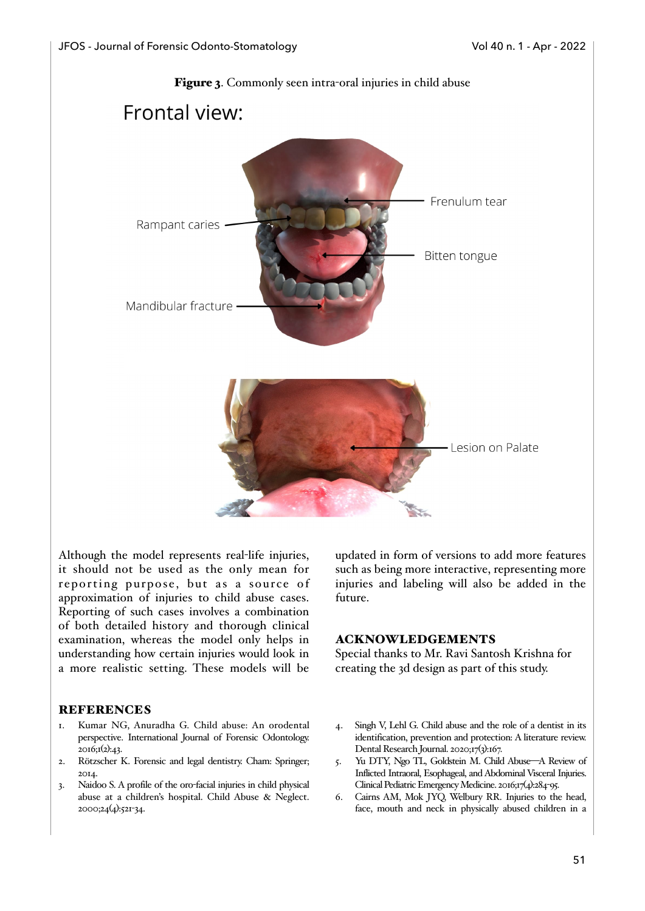

Although the model represents real-life injuries, it should not be used as the only mean for reporting purpose, but as a source of approximation of injuries to child abuse cases. Reporting of such cases involves a combination of both detailed history and thorough clinical examination, whereas the model only helps in understanding how certain injuries would look in a more realistic setting. These models will be

#### **REFERENCES**

- 1. Kumar NG, Anuradha G. Child abuse: An orodental perspective. International Journal of Forensic Odontology. 2016;1(2):43.
- 2. Rötzscher K. Forensic and legal dentistry. Cham: Springer; 2014.
- 3. Naidoo S. A profile of the oro-facial injuries in child physical abuse at a children's hospital. Child Abuse & Neglect. 2000;24(4):521-34.

updated in form of versions to add more features such as being more interactive, representing more injuries and labeling will also be added in the future.

#### ACKNOWLEDGEMENTS

Special thanks to Mr. Ravi Santosh Krishna for creating the 3d design as part of this study.

- 4. Singh V, Lehl G. Child abuse and the role of a dentist in its identification, prevention and protection: A literature review. Dental Research Journal. 2020;17(3):167.
- 5. Yu DTY, Ngo TL, Goldstein M. Child Abuse—A Review of Inflicted Intraoral, Esophageal, and Abdominal Visceral Injuries. Clinical Pediatric Emergency Medicine. 2016;17(4):284-95.
- 6. Cairns AM, Mok JYQ, Welbury RR. Injuries to the head, face, mouth and neck in physically abused children in a